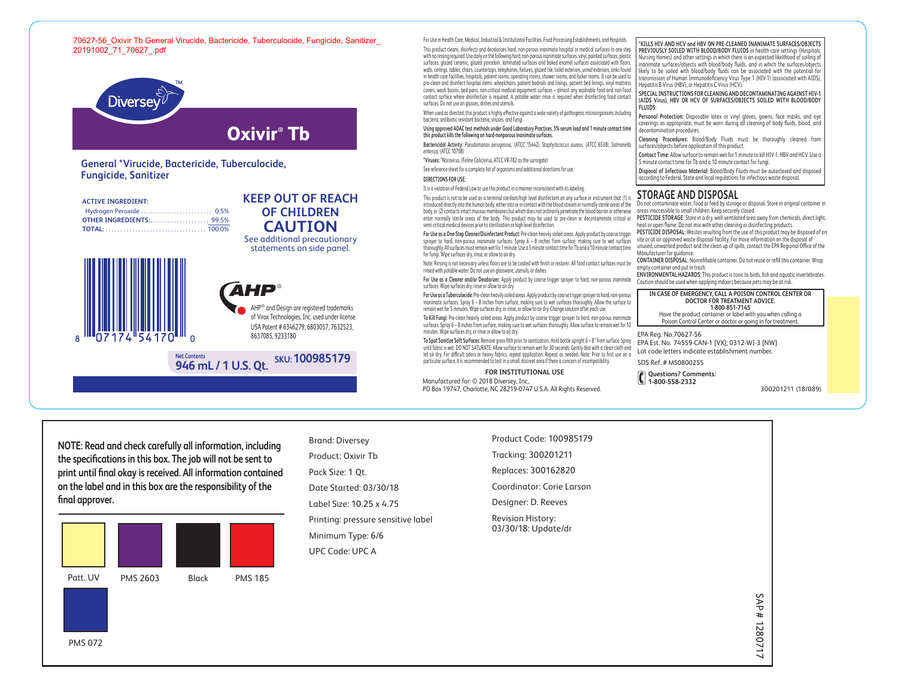### 70627-56\_Oxivir Tb General Virucide, Bactericide, Tuberculocide, Fungicide, Sanitizer\_ 20191002\_71\_70627\_.pdf



# **General \*Virucide, Bactericide, Tuberculocide, Fungicide, Sanitizer**

**Net Contents**

# **ACTIVE INGREDIENT:**

## **OF CHILDREN CAUTION** See additional precautionary statements on side panel.

**KEEP OUT OF REACH**





of Virox Technologies, Inc. used under license. USA Patent # 6346279, 6803057, 7632523, 8637085, 9233180



For Use in Health Care, Medical, Industrial & Institutional Facilities, Food Processing Establishments, and Hospitals.

This product cleans, disinfects and deodorizes hard, non-porous inanimate hospital or medical surfaces in one step with no rinsing required. Use daily on the following hard, non-porous inanimate surfaces: vinyl, painted surfaces, plastic surfaces, glazed ceramic, glazed porcelain, laminated surfaces and baked enamel surfaces associated with floors, walls, ceilings, tables, chairs, countertops, telephones, fixtures, glazed tile, toilet exteriors, urinal exteriors, sinks found in health care facilities, hospitals, patient rooms, operating rooms, shower rooms, and locker rooms. It can be used to pre-clean and disinfect hospital items: wheelchairs, patient bedrails and linings, patient bed linings, vinyl mattress covers, wash basins, bed pans, non-critical medical equipment surfaces – almost any washable food and non-food contact surface where disinfection is required. A potable water rinse is required when disinfecting food contact surfaces. Do not use on glasses, dishes and utensils.

When used as directed, this product is highly effective against a wide variety of pathogenic microorganisms including bacteria, antibiotic resistant bacteria, viruses, and fungi.

#### **Using approved AOAC test methods under Good Laboratory Practices, 5% serum load and 1 minute contact time this product kills the following on hard-nonporous inanimate surfaces.**

**Bactericidal Activity:** *Pseudomonas aeruginosa,* (ATCC 15442), *Staphylococcus aureus,* (ATCC 6538), *Salmonella enterica,* (ATCC 10708)

**\*Viruses:** \*Norovirus, (Feline Calicivirus, ATCC VR-782 as the surrogate)

See reference sheet for a complete list of organisms and additional directions for use.

#### **DIRECTIONS FOR USE:**

It is a violation of Federal Law to use this product in a manner inconsistent with its labeling.

This product is not to be used as a terminal sterilant/high level disinfectant on any surface or instrument that (1) is introduced directly into the human body, either into or in contact with the blood stream or normally sterile areas of the body, or (2) contacts intact mucous membranes but which does not ordinarily penetrate the blood barrier or otherwise enter normally sterile areas of the body. This product may be used to pre-clean or decontaminate critical or semi-critical medical devices prior to sterilization or high level disinfection.

**For Use as a One-Step Cleaner/Disinfectant Product:** Pre-clean heavily soiled areas. Apply product by coarse trigger sprayer to hard, non-porous inanimate surfaces. Spray 6 – 8 inches from surface, making sure to wet surfaces thoroughly. All surfaces must remain wet for 1 minute. Use a 5 minute contact time for Tb and a 10 minute contact time for fungi. Wipe surfaces dry, rinse, or allow to air dry.

Note: Rinsing is not necessary unless floors are to be coated with finish or restorer. All food contact surfaces must be rinsed with potable water. Do not use on glassware, utensils, or dishes.

**For Use as a Cleaner and/or Deodorizer:** Apply product by coarse trigger sprayer to hard, non-porous inanimate surfaces. Wipe surfaces dry, rinse or allow to air dry.

**For Use as a Tuberculocide:** Pre-clean heavily soiled areas. Apply product by coarse trigger sprayer to hard, non-porous inanimate surfaces. Spray 6 – 8 inches from surface, making sure to wet surfaces thoroughly. Allow the surface to remain wet for 5 minutes. Wipe surfaces dry, or rinse, or allow to air dry. Change solution after each use.

**To Kill Fungi:** Pre-clean heavily soiled areas. Apply product by coarse trigger sprayer to hard, non-porous inanimate surfaces. Spray 6 – 8 inches from surface, making sure to wet surfaces thoroughly. Allow surface to remain wet for 10 minutes. Wipe surfaces dry, or rinse or allow to air dry.

**To Spot Sanitize Soft Surfaces:** Remove gross filth prior to sanitization. Hold bottle upright 6 – 8" from surface. Spray until fabric is wet. DO NOT SATURATE. Allow surface to remain wet for 30 seconds. Gently blot with a clean cloth and let air dry. For difficult odors or heavy fabrics, repeat application. Repeat as needed. Note: Prior to first use on a particular surface, it is recommended to test in a small, discreet area if there is concern of incompatibility.

#### **FOR INSTITUTIONAL USE**

Manufactured for: © 2018 Diversey, Inc., PO Box 19747, Charlotte, NC 28219-0747 U.S.A. All Rights Reserved.

**\*KILLS HIV AND HCV and HBV ON PRE-CLEANED INANIMATE SURFACES/OBJECTS PREVIOUSLY SOILED WITH BLOOD/BODY FLUIDS** in health care settings (Hospitals, Nursing Homes) and other settings in which there is an expected likelihood of soiling of inanimate surfaces/objects with blood/body fluids, and in which the surfaces/objects likely to be soiled with blood/body fluids can be associated with the potential for transmission of Human Immunodeficiency Virus Type 1 (HIV-1) (associated with AIDS), Hepatitis B Virus (HBV), or Hepatitis C Virus (HCV).

**SPECIAL INSTRUCTIONS FOR CLEANING AND DECONTAMINATING AGAINST HIV-1 (AIDS Virus), HBV OR HCV OF SURFACES/OBJECTS SOILED WITH BLOOD/BODY FLUIDS:**

**Personal Protection:** Disposable latex or vinyl gloves, gowns, face masks, and eye coverings as appropriate, must be worn during all cleaning of body fluids, blood, and decontamination procedures.

**Cleaning Procedures:** Blood/Body Fluids must be thoroughly cleaned from surfaces/objects before application of this product.

**Contact Time:** Allow surface to remain wet for 1 minute to kill HIV-1, HBV and HCV. Use a 5 minute contact time for Tb and a 10 minute contact for fungi.

**Disposal of Infectious Material:** Blood/Body Fluids must be autoclaved and disposed according to Federal, State and local regulations for infectious waste disposal.

# **STORAGE AND DISPOSAL**

Do not contaminate water, food or feed by storage or disposal. Store in original container in areas inaccessible to small children. Keep securely closed.

**PESTICIDE STORAGE:** Store in a dry, well-ventilated area away from chemicals, direct light, heat or open flame. Do not mix with other cleaning or disinfecting products.

**PESTICIDE DISPOSAL:** Wastes resulting from the use of this product may be disposed of on site or at an approved waste disposal facility. For more information on the disposal of

unused, unwanted product and the clean up of spills, contact the EPA Regional Oce of the Manufacturer for guidance.

**CONTAINER DISPOSAL:** Nonrefillable container. Do not reuse or refill this container. Wrap empty container and put in trash.

**ENVIRONMENTAL HAZARDS:** This product is toxic to birds, fish and aquatic invertebrates. Caution should be used when applying indoors because pets may be at risk.

**IN CASE OF EMERGENCY, CALL A POISON CONTROL CENTER OR DOCTOR FOR TREATMENT ADVICE. 1-800-851-7145**

Have the product container or label with you when calling a Poison Control Center or doctor or going in for treatment.

EPA Reg. No. 70627-56 EPA Est. No. 74559-CAN-1 [VX]; 0312-WI-3 [NW] Lot code letters indicate establishment number.

SDS Ref. # MS0800255

**Questions? Comments: 1-800-558-2332**